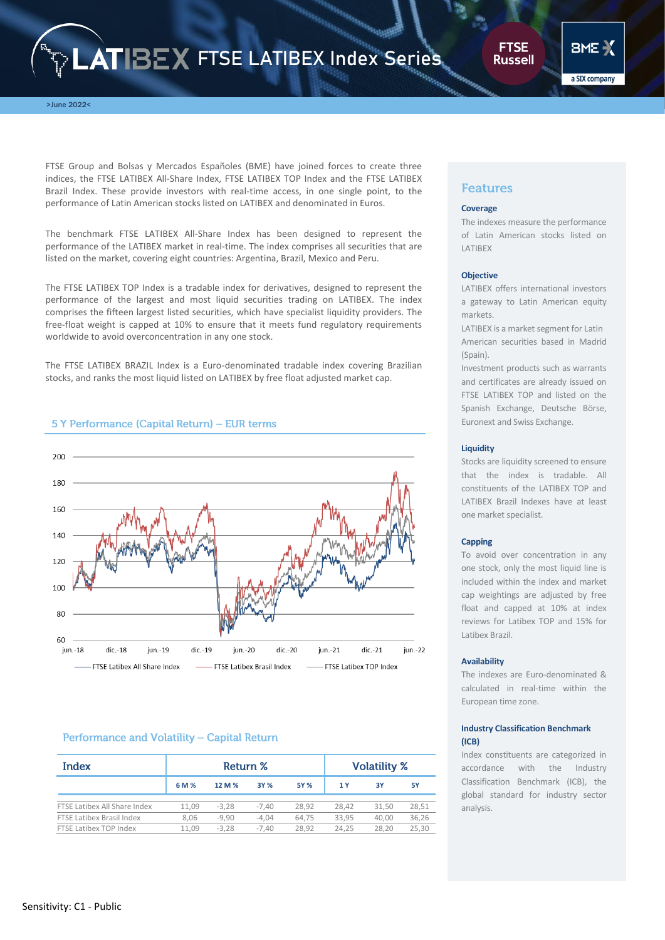# **ATIBEX FTSE LATIBEX Index Series**

**FTSE Russell** 

a SIX company

>June 2022<

FTSE Group and Bolsas y Mercados Españoles (BME) have joined forces to create three indices, the FTSE LATIBEX All-Share Index, FTSE LATIBEX TOP Index and the FTSE LATIBEX Brazil Index. These provide investors with real-time access, in one single point, to the performance of Latin American stocks listed on LATIBEX and denominated in Euros.

The benchmark FTSE LATIBEX All-Share Index has been designed to represent the performance of the LATIBEX market in real-time. The index comprises all securities that are listed on the market, covering eight countries: Argentina, Brazil, Mexico and Peru.

The FTSE LATIBEX TOP Index is a tradable index for derivatives, designed to represent the performance of the largest and most liquid securities trading on LATIBEX. The index comprises the fifteen largest listed securities, which have specialist liquidity providers. The free-float weight is capped at 10% to ensure that it meets fund regulatory requirements worldwide to avoid overconcentration in any one stock.

The FTSE LATIBEX BRAZIL Index is a Euro-denominated tradable index covering Brazilian stocks, and ranks the most liquid listed on LATIBEX by free float adjusted market cap.



# 5 Y Performance (Capital Return) - EUR terms

# Performance and Volatility - Capital Return

| Index                        | Return % |         |         | <b>Volatility %</b> |       |       |       |
|------------------------------|----------|---------|---------|---------------------|-------|-------|-------|
|                              | 6 M %    | 12 M %  | 3Y %    | 5Y %                | 1 Y   | 3Y    | 5Υ    |
| FTSE Latibex All Share Index | 11.09    | $-3.28$ | $-7.40$ | 28.92               | 28.42 | 31.50 | 28,51 |
| FTSE Latibex Brasil Index    | 8.06     | $-9.90$ | $-4.04$ | 64.75               | 33.95 | 40.00 | 36,26 |
| FTSE Latibex TOP Index       | 11.09    | $-3.28$ | $-7.40$ | 28.92               | 24.25 | 28.20 | 25.30 |

# **Features**

#### **Coverage**

The indexes measure the performance of Latin American stocks listed on **LATIBEX** 

## **Objective**

LATIBEX offers international investors a gateway to Latin American equity markets.

LATIBEX is a market segment for Latin American securities based in Madrid (Spain).

Investment products such as warrants and certificates are already issued on FTSE LATIBEX TOP and listed on the Spanish Exchange, Deutsche Börse, Euronext and Swiss Exchange.

## **Liquidity**

Stocks are liquidity screened to ensure that the index is tradable. All constituents of the LATIBEX TOP and LATIBEX Brazil Indexes have at least one market specialist.

## **Capping**

To avoid over concentration in any one stock, only the most liquid line is included within the index and market cap weightings are adjusted by free float and capped at 10% at index reviews for Latibex TOP and 15% for Latibex Brazil.

## **Availability**

The indexes are Euro-denominated & calculated in real-time within the European time zone.

## **Industry Classification Benchmark (ICB)**

Index constituents are categorized in accordance with the Industry Classification Benchmark (ICB), the global standard for industry sector analysis.